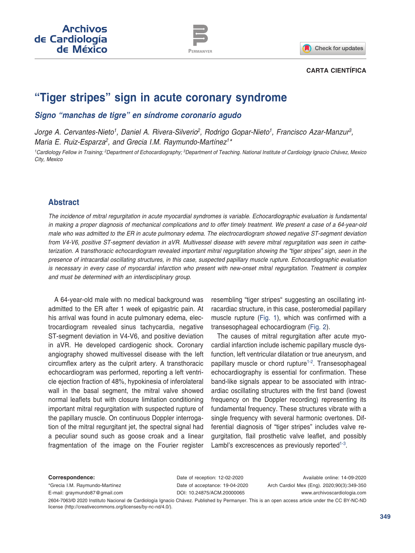



#### **CARTA CIENTÍFICA**

# **"Tiger stripes" sign in acute coronary syndrome**

#### *Signo "manchas de tigre" en síndrome coronario agudo*

*Jorge A. Cervantes-Nieto1, Daniel A. Rivera-Silverio2, Rodrigo Gopar-Nieto1, Francisco Azar-Manzur3, Maria E. Ruiz-Esparza2, and Grecia I.M. Raymundo-Martínez1\**

*1Cardiology Fellow in Training; 2Department of Echocardiography; 3Department of Teaching. National Institute of Cardiology Ignacio Chávez, Mexico City, Mexico*

#### **Abstract**

*The incidence of mitral regurgitation in acute myocardial syndromes is variable. Echocardiographic evaluation is fundamental in making a proper diagnosis of mechanical complications and to offer timely treatment. We present a case of a 64-year-old male who was admitted to the ER in acute pulmonary edema. The electrocardiogram showed negative ST-segment deviation from V4-V6, positive ST-segment deviation in aVR. Multivessel disease with severe mitral regurgitation was seen in catheterization. A transthoracic echocardiogram revealed important mitral regurgitation showing the "tiger stripes" sign, seen in the presence of intracardial oscillating structures, in this case, suspected papillary muscle rupture. Echocardiographic evaluation is necessary in every case of myocardial infarction who present with new-onset mitral regurgitation. Treatment is complex and must be determined with an interdisciplinary group.*

A 64-year-old male with no medical background was admitted to the ER after 1 week of epigastric pain. At his arrival was found in acute pulmonary edema, electrocardiogram revealed sinus tachycardia, negative ST-segment deviation in V4-V6, and positive deviation in aVR. He developed cardiogenic shock. Coronary angiography showed multivessel disease with the left circumflex artery as the culprit artery. A transthoracic echocardiogram was performed, reporting a left ventricle ejection fraction of 48%, hypokinesia of inferolateral wall in the basal segment, the mitral valve showed normal leaflets but with closure limitation conditioning important mitral regurgitation with suspected rupture of the papillary muscle. On continuous Doppler interrogation of the mitral regurgitant jet, the spectral signal had a peculiar sound such as goose croak and a linear fragmentation of the image on the Fourier register

resembling "tiger stripes" suggesting an oscillating intracardiac structure, in this case, posteromedial papillary muscle rupture ([Fig.](#page-1-0) 1), which was confirmed with a transesophageal echocardiogram [\(Fig.](#page-1-0) 2).

The causes of mitral regurgitation after acute myocardial infarction include ischemic papillary muscle dysfunction, left ventricular dilatation or true aneurysm, and papillary muscle or chord rupture<sup>[1-](#page-1-1)[2](#page-1-2)</sup>. Transesophageal echocardiography is essential for confirmation. These band-like signals appear to be associated with intracardiac oscillating structures with the first band (lowest frequency on the Doppler recording) representing its fundamental frequency. These structures vibrate with a single frequency with several harmonic overtones. Differential diagnosis of "tiger stripes" includes valve regurgitation, flail prosthetic valve leaflet, and possibly Lambl's excrescences as previously reported<sup>[1-](#page-1-1)[3](#page-1-3)</sup>.

**Correspondence:**

\*Grecia I.M. Raymundo-Martínez E-mail: [graymundo87@gmail.com](mailto:graymundo87%40gmail.com?subject=)  Date of reception: 12-02-2020 Date of acceptance: 19-04-2020 DOI: [10.24875/ACM.20000065](http://dx.doi.org/10.24875/ACME.20000065)

Available online: 14-09-2020 Arch Cardiol Mex (Eng). 2020;90(3):349-350 www.archivoscardiologia.com

2604-7063/© 2020 Instituto Nacional de Cardiología Ignacio Chávez. Published by Permanyer. This is an open access article under the CC BY-NC-ND license ([http://creativecommons.org/licenses/by-nc-nd/4.0/\)](http://creativecommons.org/licenses/by-nc-nd/4.0/).